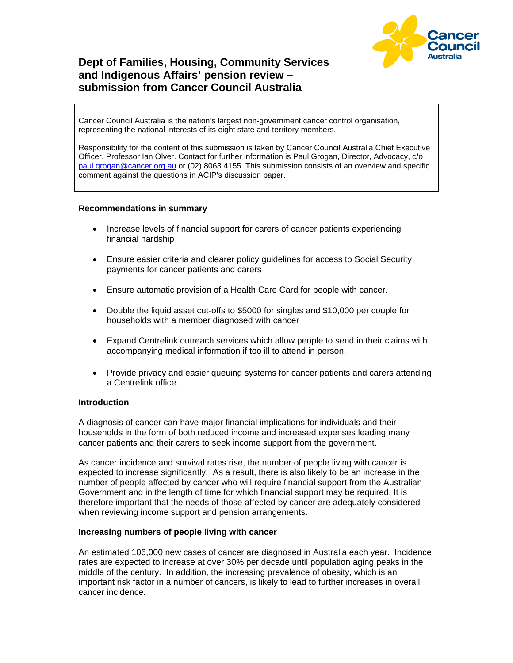

# **Dept of Families, Housing, Community Services and Indigenous Affairs' pension review – submission from Cancer Council Australia**

Cancer Council Australia is the nation's largest non-government cancer control organisation, representing the national interests of its eight state and territory members.

Responsibility for the content of this submission is taken by Cancer Council Australia Chief Executive Officer, Professor Ian Olver. Contact for further information is Paul Grogan, Director, Advocacy, c/o paul.grogan@cancer.org.au or (02) 8063 4155. This submission consists of an overview and specific comment against the questions in ACIP's discussion paper.

#### **Recommendations in summary**

- Increase levels of financial support for carers of cancer patients experiencing financial hardship
- Ensure easier criteria and clearer policy guidelines for access to Social Security payments for cancer patients and carers
- Ensure automatic provision of a Health Care Card for people with cancer.
- Double the liquid asset cut-offs to \$5000 for singles and \$10,000 per couple for households with a member diagnosed with cancer
- Expand Centrelink outreach services which allow people to send in their claims with accompanying medical information if too ill to attend in person.
- Provide privacy and easier queuing systems for cancer patients and carers attending a Centrelink office.

#### **Introduction**

A diagnosis of cancer can have major financial implications for individuals and their households in the form of both reduced income and increased expenses leading many cancer patients and their carers to seek income support from the government.

As cancer incidence and survival rates rise, the number of people living with cancer is expected to increase significantly. As a result, there is also likely to be an increase in the number of people affected by cancer who will require financial support from the Australian Government and in the length of time for which financial support may be required. It is therefore important that the needs of those affected by cancer are adequately considered when reviewing income support and pension arrangements.

#### **Increasing numbers of people living with cancer**

An estimated 106,000 new cases of cancer are diagnosed in Australia each year. Incidence rates are expected to increase at over 30% per decade until population aging peaks in the middle of the century. In addition, the increasing prevalence of obesity, which is an important risk factor in a number of cancers, is likely to lead to further increases in overall cancer incidence.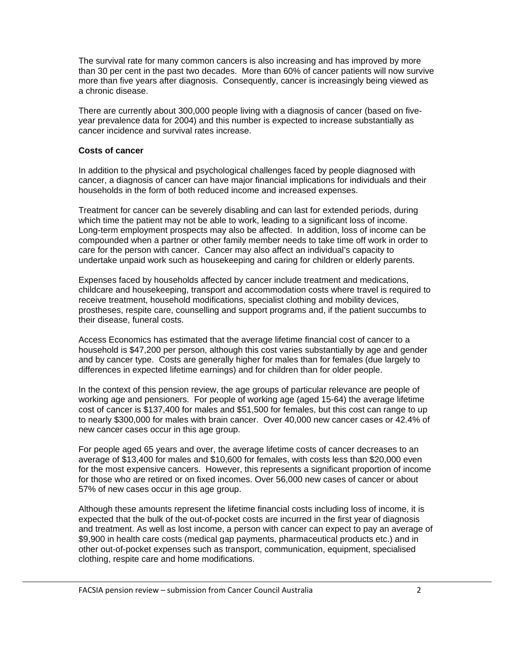The survival rate for many common cancers is also increasing and has improved by more than 30 per cent in the past two decades. More than 60% of cancer patients will now survive more than five years after diagnosis. Consequently, cancer is increasingly being viewed as a chronic disease.

There are currently about 300,000 people living with a diagnosis of cancer (based on fiveyear prevalence data for 2004) and this number is expected to increase substantially as cancer incidence and survival rates increase.

## **Costs of cancer**

In addition to the physical and psychological challenges faced by people diagnosed with cancer, a diagnosis of cancer can have major financial implications for individuals and their households in the form of both reduced income and increased expenses.

Treatment for cancer can be severely disabling and can last for extended periods, during which time the patient may not be able to work, leading to a significant loss of income. Long-term employment prospects may also be affected. In addition, loss of income can be compounded when a partner or other family member needs to take time off work in order to care for the person with cancer. Cancer may also affect an individual's capacity to undertake unpaid work such as housekeeping and caring for children or elderly parents.

Expenses faced by households affected by cancer include treatment and medications, childcare and housekeeping, transport and accommodation costs where travel is required to receive treatment, household modifications, specialist clothing and mobility devices, prostheses, respite care, counselling and support programs and, if the patient succumbs to their disease, funeral costs.

Access Economics has estimated that the average lifetime financial cost of cancer to a household is \$47,200 per person, although this cost varies substantially by age and gender and by cancer type. Costs are generally higher for males than for females (due largely to differences in expected lifetime earnings) and for children than for older people.

In the context of this pension review, the age groups of particular relevance are people of working age and pensioners. For people of working age (aged 15-64) the average lifetime cost of cancer is \$137,400 for males and \$51,500 for females, but this cost can range to up to nearly \$300,000 for males with brain cancer. Over 40,000 new cancer cases or 42.4% of new cancer cases occur in this age group.

For people aged 65 years and over, the average lifetime costs of cancer decreases to an average of \$13,400 for males and \$10,600 for females, with costs less than \$20,000 even for the most expensive cancers. However, this represents a significant proportion of income for those who are retired or on fixed incomes. Over 56,000 new cases of cancer or about 57% of new cases occur in this age group.

Although these amounts represent the lifetime financial costs including loss of income, it is expected that the bulk of the out-of-pocket costs are incurred in the first year of diagnosis and treatment. As well as lost income, a person with cancer can expect to pay an average of \$9,900 in health care costs (medical gap payments, pharmaceutical products etc.) and in other out-of-pocket expenses such as transport, communication, equipment, specialised clothing, respite care and home modifications.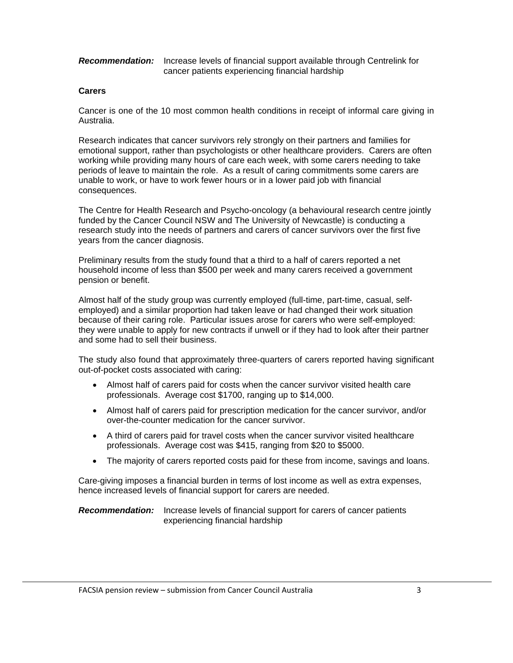#### *Recommendation:* Increase levels of financial support available through Centrelink for cancer patients experiencing financial hardship

### **Carers**

Cancer is one of the 10 most common health conditions in receipt of informal care giving in Australia.

Research indicates that cancer survivors rely strongly on their partners and families for emotional support, rather than psychologists or other healthcare providers. Carers are often working while providing many hours of care each week, with some carers needing to take periods of leave to maintain the role. As a result of caring commitments some carers are unable to work, or have to work fewer hours or in a lower paid job with financial consequences.

The Centre for Health Research and Psycho-oncology (a behavioural research centre jointly funded by the Cancer Council NSW and The University of Newcastle) is conducting a research study into the needs of partners and carers of cancer survivors over the first five years from the cancer diagnosis.

Preliminary results from the study found that a third to a half of carers reported a net household income of less than \$500 per week and many carers received a government pension or benefit.

Almost half of the study group was currently employed (full-time, part-time, casual, selfemployed) and a similar proportion had taken leave or had changed their work situation because of their caring role. Particular issues arose for carers who were self-employed: they were unable to apply for new contracts if unwell or if they had to look after their partner and some had to sell their business.

The study also found that approximately three-quarters of carers reported having significant out-of-pocket costs associated with caring:

- Almost half of carers paid for costs when the cancer survivor visited health care professionals. Average cost \$1700, ranging up to \$14,000.
- Almost half of carers paid for prescription medication for the cancer survivor, and/or over-the-counter medication for the cancer survivor.
- A third of carers paid for travel costs when the cancer survivor visited healthcare professionals. Average cost was \$415, ranging from \$20 to \$5000.
- The majority of carers reported costs paid for these from income, savings and loans.

Care-giving imposes a financial burden in terms of lost income as well as extra expenses, hence increased levels of financial support for carers are needed.

*Recommendation:* Increase levels of financial support for carers of cancer patients experiencing financial hardship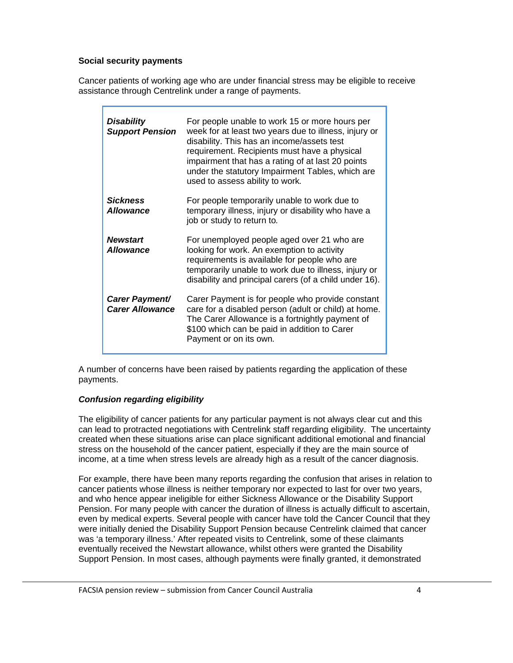### **Social security payments**

Cancer patients of working age who are under financial stress may be eligible to receive assistance through Centrelink under a range of payments.

| <b>Disability</b><br><b>Support Pension</b> | For people unable to work 15 or more hours per<br>week for at least two years due to illness, injury or<br>disability. This has an income/assets test<br>requirement. Recipients must have a physical<br>impairment that has a rating of at last 20 points<br>under the statutory Impairment Tables, which are<br>used to assess ability to work. |
|---------------------------------------------|---------------------------------------------------------------------------------------------------------------------------------------------------------------------------------------------------------------------------------------------------------------------------------------------------------------------------------------------------|
| <b>Sickness</b><br><b>Allowance</b>         | For people temporarily unable to work due to<br>temporary illness, injury or disability who have a<br>job or study to return to.                                                                                                                                                                                                                  |
| <b>Newstart</b><br><b>Allowance</b>         | For unemployed people aged over 21 who are<br>looking for work. An exemption to activity<br>requirements is available for people who are<br>temporarily unable to work due to illness, injury or<br>disability and principal carers (of a child under 16).                                                                                        |
| Carer Payment/<br><b>Carer Allowance</b>    | Carer Payment is for people who provide constant<br>care for a disabled person (adult or child) at home.<br>The Carer Allowance is a fortnightly payment of<br>\$100 which can be paid in addition to Carer<br>Payment or on its own.                                                                                                             |

A number of concerns have been raised by patients regarding the application of these payments.

## *Confusion regarding eligibility*

The eligibility of cancer patients for any particular payment is not always clear cut and this can lead to protracted negotiations with Centrelink staff regarding eligibility. The uncertainty created when these situations arise can place significant additional emotional and financial stress on the household of the cancer patient, especially if they are the main source of income, at a time when stress levels are already high as a result of the cancer diagnosis.

For example, there have been many reports regarding the confusion that arises in relation to cancer patients whose illness is neither temporary nor expected to last for over two years, and who hence appear ineligible for either Sickness Allowance or the Disability Support Pension. For many people with cancer the duration of illness is actually difficult to ascertain, even by medical experts. Several people with cancer have told the Cancer Council that they were initially denied the Disability Support Pension because Centrelink claimed that cancer was 'a temporary illness.' After repeated visits to Centrelink, some of these claimants eventually received the Newstart allowance, whilst others were granted the Disability Support Pension. In most cases, although payments were finally granted, it demonstrated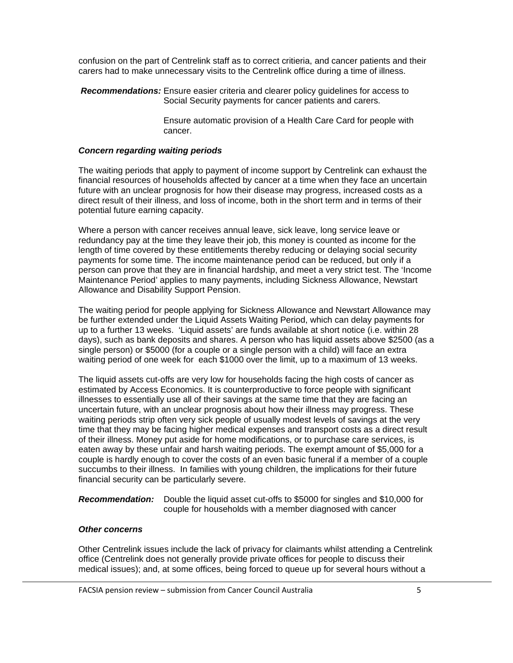confusion on the part of Centrelink staff as to correct critieria, and cancer patients and their carers had to make unnecessary visits to the Centrelink office during a time of illness.

*Recommendations:* Ensure easier criteria and clearer policy guidelines for access to Social Security payments for cancer patients and carers.

> Ensure automatic provision of a Health Care Card for people with cancer.

#### *Concern regarding waiting periods*

The waiting periods that apply to payment of income support by Centrelink can exhaust the financial resources of households affected by cancer at a time when they face an uncertain future with an unclear prognosis for how their disease may progress, increased costs as a direct result of their illness, and loss of income, both in the short term and in terms of their potential future earning capacity.

Where a person with cancer receives annual leave, sick leave, long service leave or redundancy pay at the time they leave their job, this money is counted as income for the length of time covered by these entitlements thereby reducing or delaying social security payments for some time. The income maintenance period can be reduced, but only if a person can prove that they are in financial hardship, and meet a very strict test. The 'Income Maintenance Period' applies to many payments, including Sickness Allowance, Newstart Allowance and Disability Support Pension.

The waiting period for people applying for Sickness Allowance and Newstart Allowance may be further extended under the Liquid Assets Waiting Period, which can delay payments for up to a further 13 weeks. 'Liquid assets' are funds available at short notice (i.e. within 28 days), such as bank deposits and shares. A person who has liquid assets above \$2500 (as a single person) or \$5000 (for a couple or a single person with a child) will face an extra waiting period of one week for each \$1000 over the limit, up to a maximum of 13 weeks.

The liquid assets cut-offs are very low for households facing the high costs of cancer as estimated by Access Economics. It is counterproductive to force people with significant illnesses to essentially use all of their savings at the same time that they are facing an uncertain future, with an unclear prognosis about how their illness may progress. These waiting periods strip often very sick people of usually modest levels of savings at the very time that they may be facing higher medical expenses and transport costs as a direct result of their illness. Money put aside for home modifications, or to purchase care services, is eaten away by these unfair and harsh waiting periods. The exempt amount of \$5,000 for a couple is hardly enough to cover the costs of an even basic funeral if a member of a couple succumbs to their illness. In families with young children, the implications for their future financial security can be particularly severe.

*Recommendation:* Double the liquid asset cut-offs to \$5000 for singles and \$10,000 for couple for households with a member diagnosed with cancer

# *Other concerns*

Other Centrelink issues include the lack of privacy for claimants whilst attending a Centrelink office (Centrelink does not generally provide private offices for people to discuss their medical issues); and, at some offices, being forced to queue up for several hours without a